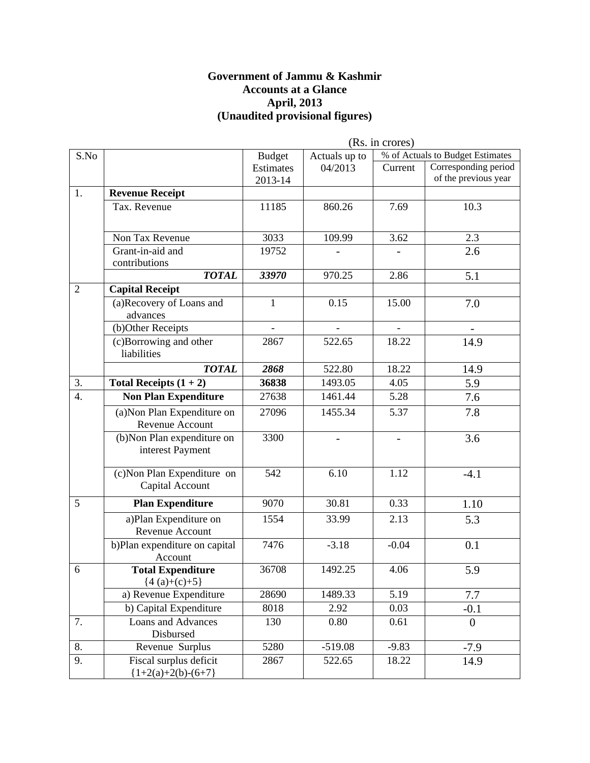#### **Government of Jammu & Kashmir Accounts at a Glance April, 2013 (Unaudited provisional figures)**

|                |                               | (Rs. in crores) |                |                          |                                  |  |  |
|----------------|-------------------------------|-----------------|----------------|--------------------------|----------------------------------|--|--|
| S.No           |                               | <b>Budget</b>   | Actuals up to  |                          | % of Actuals to Budget Estimates |  |  |
|                |                               | Estimates       | 04/2013        | Current                  | Corresponding period             |  |  |
|                |                               | 2013-14         |                |                          | of the previous year             |  |  |
| 1.             | <b>Revenue Receipt</b>        |                 |                |                          |                                  |  |  |
|                | Tax. Revenue                  | 11185           | 860.26         | 7.69                     | 10.3                             |  |  |
|                |                               |                 |                |                          |                                  |  |  |
|                | Non Tax Revenue               | 3033            | 109.99         | 3.62                     | 2.3                              |  |  |
|                | Grant-in-aid and              | 19752           |                |                          | 2.6                              |  |  |
|                | contributions                 |                 |                |                          |                                  |  |  |
|                | <b>TOTAL</b>                  | 33970           | 970.25         | 2.86                     | 5.1                              |  |  |
| $\overline{2}$ | <b>Capital Receipt</b>        |                 |                |                          |                                  |  |  |
|                | (a)Recovery of Loans and      | $\mathbf{1}$    | 0.15           | 15.00                    | 7.0                              |  |  |
|                | advances                      |                 |                |                          |                                  |  |  |
|                | (b)Other Receipts             | $\equiv$        | $\overline{a}$ | $\overline{\phantom{a}}$ | $\overline{\phantom{a}}$         |  |  |
|                | (c)Borrowing and other        | 2867            | 522.65         | 18.22                    | 14.9                             |  |  |
|                | liabilities                   |                 |                |                          |                                  |  |  |
|                | <b>TOTAL</b>                  | 2868            | 522.80         | 18.22                    | 14.9                             |  |  |
| 3.             | Total Receipts $(1 + 2)$      | 36838           | 1493.05        | 4.05                     | 5.9                              |  |  |
| 4.             | <b>Non Plan Expenditure</b>   | 27638           | 1461.44        | 5.28                     | 7.6                              |  |  |
|                | (a) Non Plan Expenditure on   | 27096           | 1455.34        | 5.37                     | 7.8                              |  |  |
|                | Revenue Account               |                 |                |                          |                                  |  |  |
|                | (b) Non Plan expenditure on   | 3300            |                | $\overline{\phantom{0}}$ | 3.6                              |  |  |
|                | interest Payment              |                 |                |                          |                                  |  |  |
|                |                               |                 |                |                          |                                  |  |  |
|                | (c) Non Plan Expenditure on   | 542             | 6.10           | 1.12                     | $-4.1$                           |  |  |
|                | Capital Account               |                 |                |                          |                                  |  |  |
| 5              | <b>Plan Expenditure</b>       | 9070            | 30.81          | 0.33                     | 1.10                             |  |  |
|                | a)Plan Expenditure on         | 1554            | 33.99          | 2.13                     | 5.3                              |  |  |
|                | Revenue Account               |                 |                |                          |                                  |  |  |
|                | b)Plan expenditure on capital | 7476            | $-3.18$        | $-0.04$                  | 0.1                              |  |  |
|                | Account                       |                 |                |                          |                                  |  |  |
| 6              | <b>Total Expenditure</b>      | 36708           | 1492.25        | 4.06                     | 5.9                              |  |  |
|                | ${4(a)+(c)+5}$                |                 |                |                          |                                  |  |  |
|                | a) Revenue Expenditure        | 28690           | 1489.33        | 5.19                     | 7.7                              |  |  |
|                | b) Capital Expenditure        | 8018            | 2.92           | 0.03                     | $-0.1$                           |  |  |
| 7.             | Loans and Advances            | 130             | 0.80           | 0.61                     | $\overline{0}$                   |  |  |
|                | Disbursed                     |                 |                |                          |                                  |  |  |
| 8.             | Revenue Surplus               | 5280            | $-519.08$      | $-9.83$                  | $-7.9$                           |  |  |
| 9.             | Fiscal surplus deficit        | 2867            | 522.65         | 18.22                    | 14.9                             |  |  |
|                | ${1+2(a)+2(b)-(6+7)}$         |                 |                |                          |                                  |  |  |

 $(D<sub>e</sub>$  in cropes)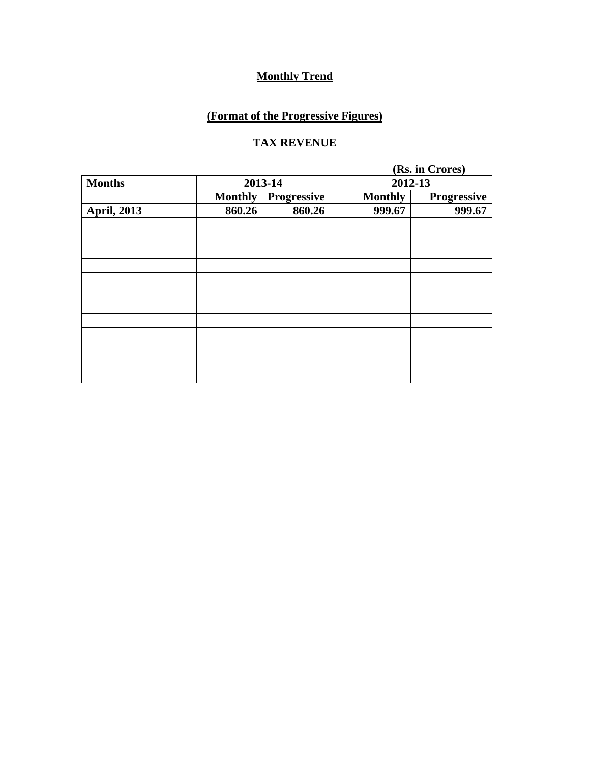## **(Format of the Progressive Figures)**

#### **TAX REVENUE**

|                    |                |                    |                | (Rs. in Crores) |  |  |
|--------------------|----------------|--------------------|----------------|-----------------|--|--|
| <b>Months</b>      |                | 2013-14            | 2012-13        |                 |  |  |
|                    | <b>Monthly</b> | <b>Progressive</b> | <b>Monthly</b> | Progressive     |  |  |
| <b>April, 2013</b> | 860.26         | 860.26             | 999.67         | 999.67          |  |  |
|                    |                |                    |                |                 |  |  |
|                    |                |                    |                |                 |  |  |
|                    |                |                    |                |                 |  |  |
|                    |                |                    |                |                 |  |  |
|                    |                |                    |                |                 |  |  |
|                    |                |                    |                |                 |  |  |
|                    |                |                    |                |                 |  |  |
|                    |                |                    |                |                 |  |  |
|                    |                |                    |                |                 |  |  |
|                    |                |                    |                |                 |  |  |
|                    |                |                    |                |                 |  |  |
|                    |                |                    |                |                 |  |  |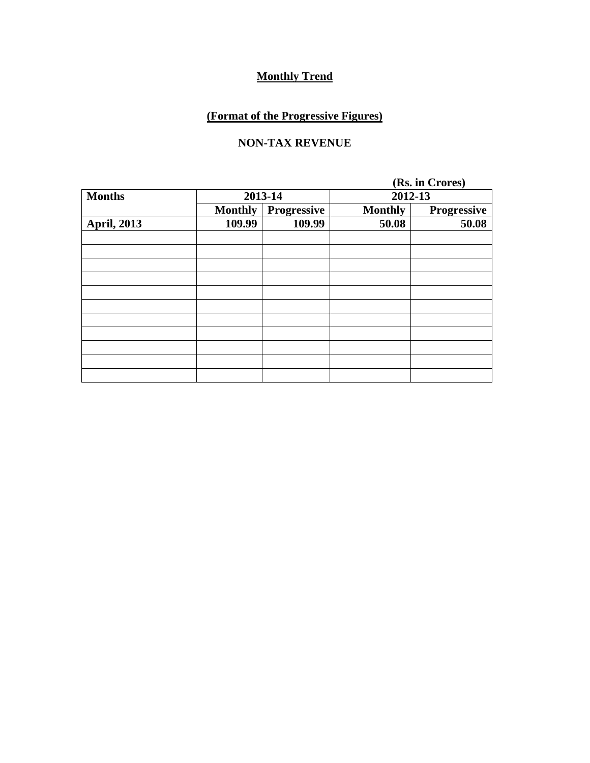## **(Format of the Progressive Figures)**

### **NON-TAX REVENUE**

|                    |                |             |                | (Rs. in Crores) |  |  |
|--------------------|----------------|-------------|----------------|-----------------|--|--|
| <b>Months</b>      |                | 2013-14     |                | 2012-13         |  |  |
|                    | <b>Monthly</b> | Progressive | <b>Monthly</b> | Progressive     |  |  |
| <b>April, 2013</b> | 109.99         | 109.99      | 50.08          | 50.08           |  |  |
|                    |                |             |                |                 |  |  |
|                    |                |             |                |                 |  |  |
|                    |                |             |                |                 |  |  |
|                    |                |             |                |                 |  |  |
|                    |                |             |                |                 |  |  |
|                    |                |             |                |                 |  |  |
|                    |                |             |                |                 |  |  |
|                    |                |             |                |                 |  |  |
|                    |                |             |                |                 |  |  |
|                    |                |             |                |                 |  |  |
|                    |                |             |                |                 |  |  |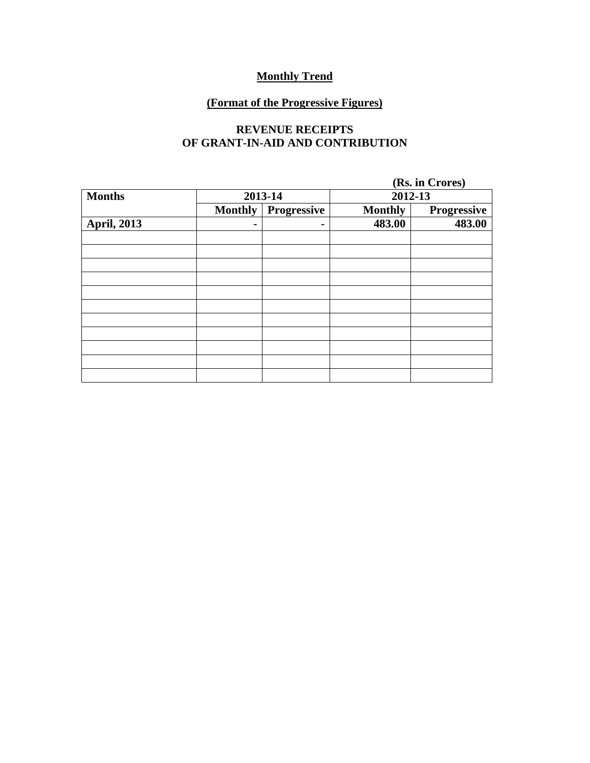## **(Format of the Progressive Figures)**

#### **REVENUE RECEIPTS OF GRANT-IN-AID AND CONTRIBUTION**

|                    |                |                |                | (Rs. in Crores) |  |  |
|--------------------|----------------|----------------|----------------|-----------------|--|--|
| <b>Months</b>      |                | 2013-14        |                | 2012-13         |  |  |
|                    | <b>Monthly</b> | Progressive    | <b>Monthly</b> | Progressive     |  |  |
| <b>April, 2013</b> |                | $\blacksquare$ | 483.00         | 483.00          |  |  |
|                    |                |                |                |                 |  |  |
|                    |                |                |                |                 |  |  |
|                    |                |                |                |                 |  |  |
|                    |                |                |                |                 |  |  |
|                    |                |                |                |                 |  |  |
|                    |                |                |                |                 |  |  |
|                    |                |                |                |                 |  |  |
|                    |                |                |                |                 |  |  |
|                    |                |                |                |                 |  |  |
|                    |                |                |                |                 |  |  |
|                    |                |                |                |                 |  |  |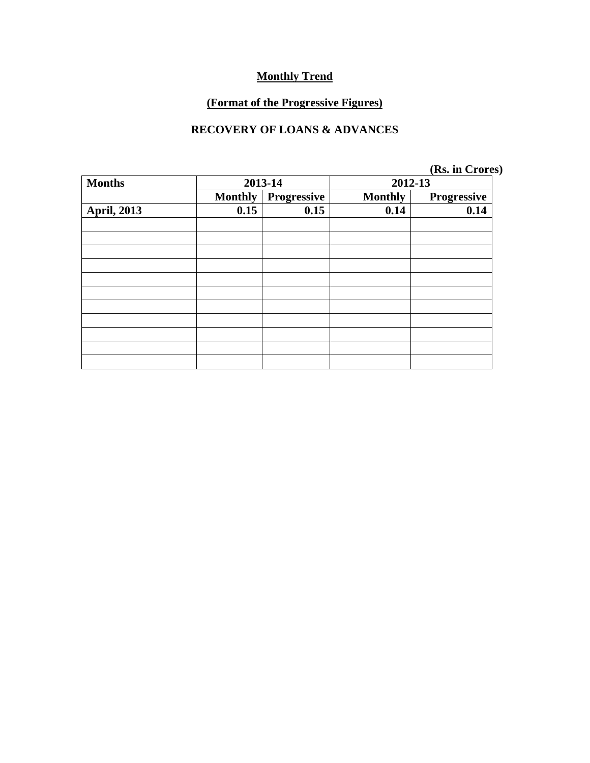## **(Format of the Progressive Figures)**

#### **RECOVERY OF LOANS & ADVANCES**

**(Rs. in Crores)** 

| <b>Months</b>      | 2013-14        |             | 2012-13        |             |
|--------------------|----------------|-------------|----------------|-------------|
|                    | <b>Monthly</b> | Progressive | <b>Monthly</b> | Progressive |
| <b>April, 2013</b> | 0.15           | 0.15        | 0.14           | 0.14        |
|                    |                |             |                |             |
|                    |                |             |                |             |
|                    |                |             |                |             |
|                    |                |             |                |             |
|                    |                |             |                |             |
|                    |                |             |                |             |
|                    |                |             |                |             |
|                    |                |             |                |             |
|                    |                |             |                |             |
|                    |                |             |                |             |
|                    |                |             |                |             |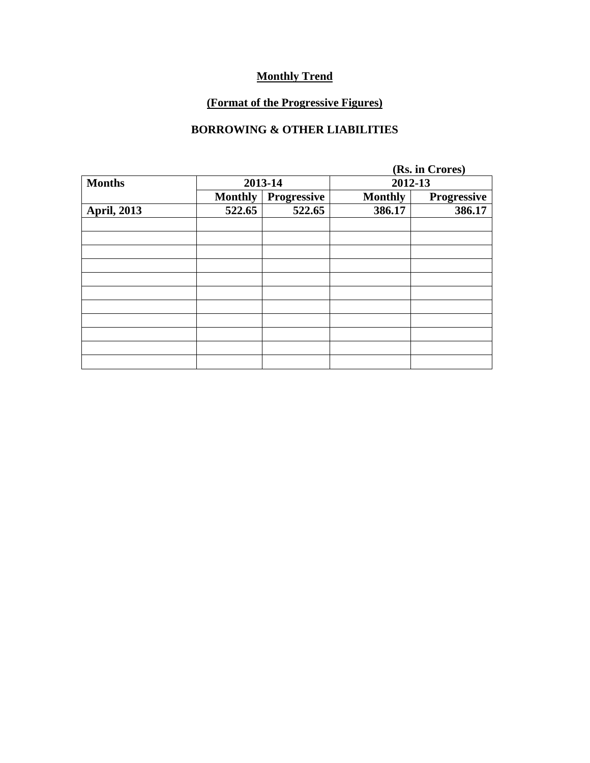## **(Format of the Progressive Figures)**

### **BORROWING & OTHER LIABILITIES**

|                    |                |             | (Rs. in Crores) |                    |  |
|--------------------|----------------|-------------|-----------------|--------------------|--|
| <b>Months</b>      |                | 2013-14     |                 | 2012-13            |  |
|                    | <b>Monthly</b> | Progressive | <b>Monthly</b>  | <b>Progressive</b> |  |
| <b>April, 2013</b> | 522.65         | 522.65      | 386.17          | 386.17             |  |
|                    |                |             |                 |                    |  |
|                    |                |             |                 |                    |  |
|                    |                |             |                 |                    |  |
|                    |                |             |                 |                    |  |
|                    |                |             |                 |                    |  |
|                    |                |             |                 |                    |  |
|                    |                |             |                 |                    |  |
|                    |                |             |                 |                    |  |
|                    |                |             |                 |                    |  |
|                    |                |             |                 |                    |  |
|                    |                |             |                 |                    |  |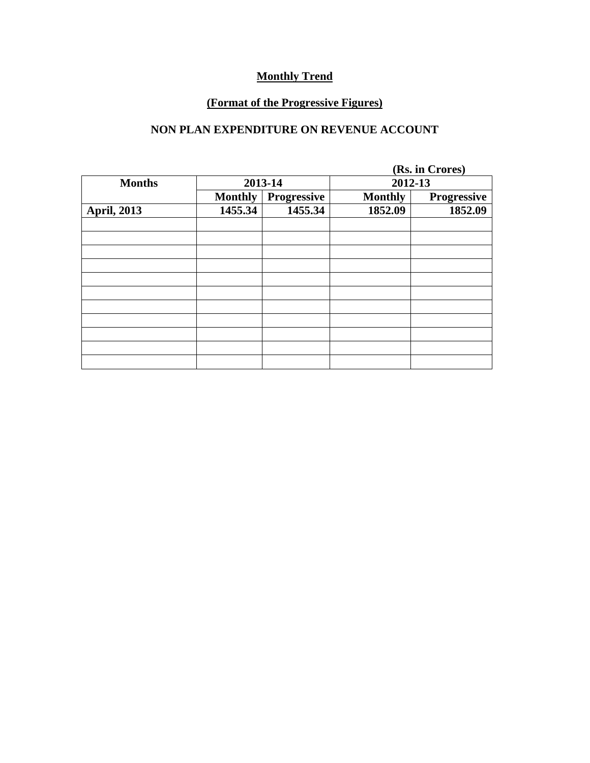## **(Format of the Progressive Figures)**

### **NON PLAN EXPENDITURE ON REVENUE ACCOUNT**

|                    |                |             | (Rs. in Crores) |             |  |
|--------------------|----------------|-------------|-----------------|-------------|--|
| <b>Months</b>      |                | 2013-14     | 2012-13         |             |  |
|                    | <b>Monthly</b> | Progressive | <b>Monthly</b>  | Progressive |  |
| <b>April, 2013</b> | 1455.34        | 1455.34     | 1852.09         | 1852.09     |  |
|                    |                |             |                 |             |  |
|                    |                |             |                 |             |  |
|                    |                |             |                 |             |  |
|                    |                |             |                 |             |  |
|                    |                |             |                 |             |  |
|                    |                |             |                 |             |  |
|                    |                |             |                 |             |  |
|                    |                |             |                 |             |  |
|                    |                |             |                 |             |  |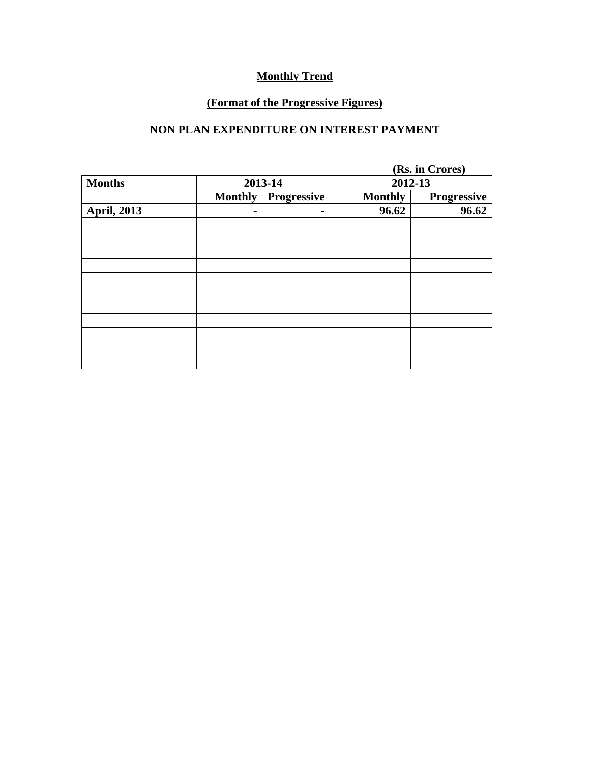## **(Format of the Progressive Figures)**

### **NON PLAN EXPENDITURE ON INTEREST PAYMENT**

|                    |                |             | (Rs. in Crores) |             |  |
|--------------------|----------------|-------------|-----------------|-------------|--|
| <b>Months</b>      |                | 2013-14     |                 | 2012-13     |  |
|                    | <b>Monthly</b> | Progressive | <b>Monthly</b>  | Progressive |  |
| <b>April, 2013</b> |                | ۰           | 96.62           | 96.62       |  |
|                    |                |             |                 |             |  |
|                    |                |             |                 |             |  |
|                    |                |             |                 |             |  |
|                    |                |             |                 |             |  |
|                    |                |             |                 |             |  |
|                    |                |             |                 |             |  |
|                    |                |             |                 |             |  |
|                    |                |             |                 |             |  |
|                    |                |             |                 |             |  |
|                    |                |             |                 |             |  |
|                    |                |             |                 |             |  |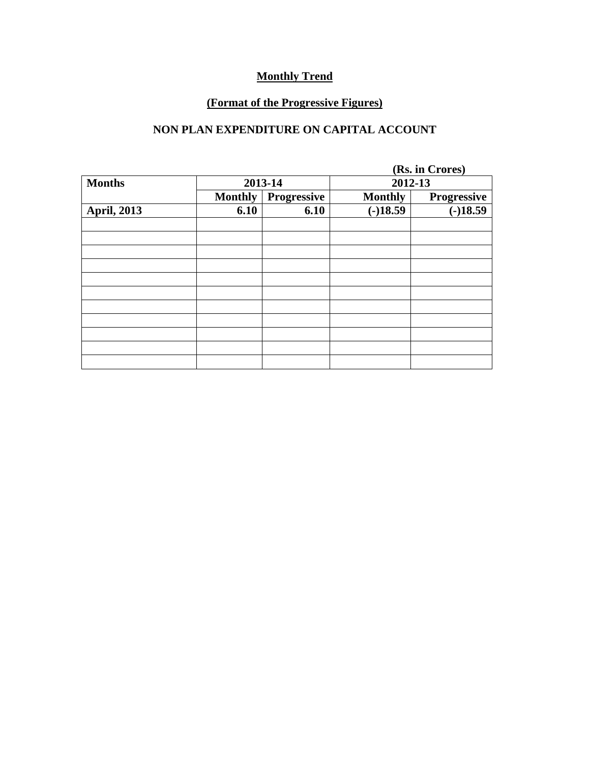## **(Format of the Progressive Figures)**

### **NON PLAN EXPENDITURE ON CAPITAL ACCOUNT**

|                    |                |             |                | (Rs. in Crores) |  |  |
|--------------------|----------------|-------------|----------------|-----------------|--|--|
| <b>Months</b>      |                | 2013-14     |                | 2012-13         |  |  |
|                    | <b>Monthly</b> | Progressive | <b>Monthly</b> | Progressive     |  |  |
| <b>April, 2013</b> | 6.10           | 6.10        | $(-)18.59$     | $(-)18.59$      |  |  |
|                    |                |             |                |                 |  |  |
|                    |                |             |                |                 |  |  |
|                    |                |             |                |                 |  |  |
|                    |                |             |                |                 |  |  |
|                    |                |             |                |                 |  |  |
|                    |                |             |                |                 |  |  |
|                    |                |             |                |                 |  |  |
|                    |                |             |                |                 |  |  |
|                    |                |             |                |                 |  |  |
|                    |                |             |                |                 |  |  |
|                    |                |             |                |                 |  |  |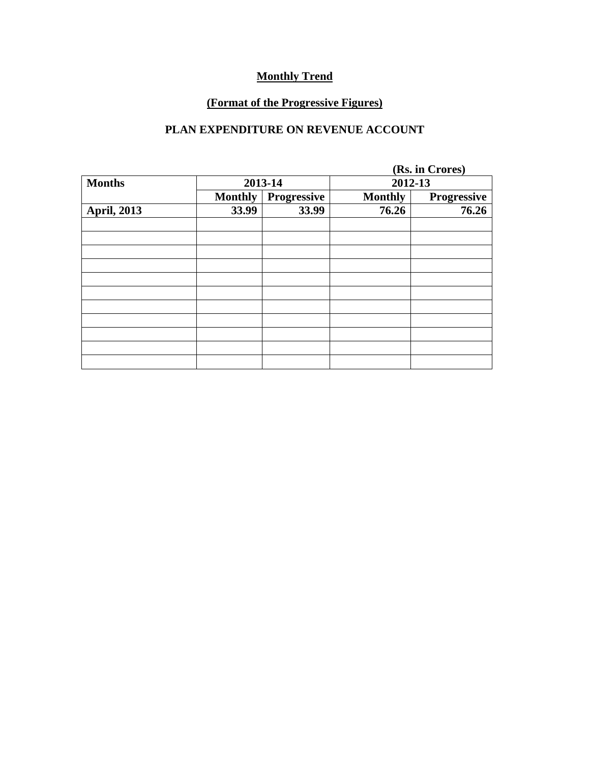## **(Format of the Progressive Figures)**

### **PLAN EXPENDITURE ON REVENUE ACCOUNT**

|                    |                |             | (Rs. in Crores) |             |  |
|--------------------|----------------|-------------|-----------------|-------------|--|
| <b>Months</b>      |                | 2013-14     | 2012-13         |             |  |
|                    | <b>Monthly</b> | Progressive | <b>Monthly</b>  | Progressive |  |
| <b>April, 2013</b> | 33.99          | 33.99       | 76.26           | 76.26       |  |
|                    |                |             |                 |             |  |
|                    |                |             |                 |             |  |
|                    |                |             |                 |             |  |
|                    |                |             |                 |             |  |
|                    |                |             |                 |             |  |
|                    |                |             |                 |             |  |
|                    |                |             |                 |             |  |
|                    |                |             |                 |             |  |
|                    |                |             |                 |             |  |
|                    |                |             |                 |             |  |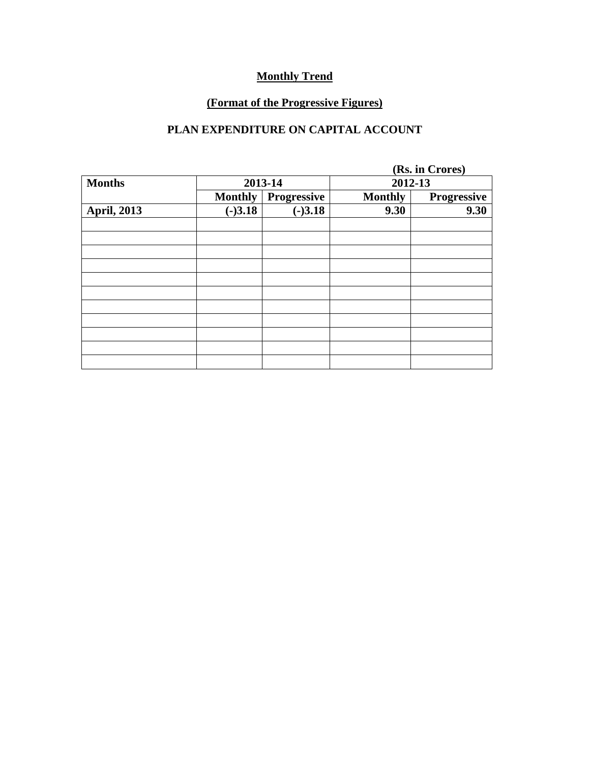## **(Format of the Progressive Figures)**

### **PLAN EXPENDITURE ON CAPITAL ACCOUNT**

|                    |                |             |                | (Rs. in Crores)    |  |
|--------------------|----------------|-------------|----------------|--------------------|--|
| <b>Months</b>      |                | 2013-14     |                | 2012-13            |  |
|                    | <b>Monthly</b> | Progressive | <b>Monthly</b> | <b>Progressive</b> |  |
| <b>April, 2013</b> | $(-)3.18$      | $(-)3.18$   | 9.30           | 9.30               |  |
|                    |                |             |                |                    |  |
|                    |                |             |                |                    |  |
|                    |                |             |                |                    |  |
|                    |                |             |                |                    |  |
|                    |                |             |                |                    |  |
|                    |                |             |                |                    |  |
|                    |                |             |                |                    |  |
|                    |                |             |                |                    |  |
|                    |                |             |                |                    |  |
|                    |                |             |                |                    |  |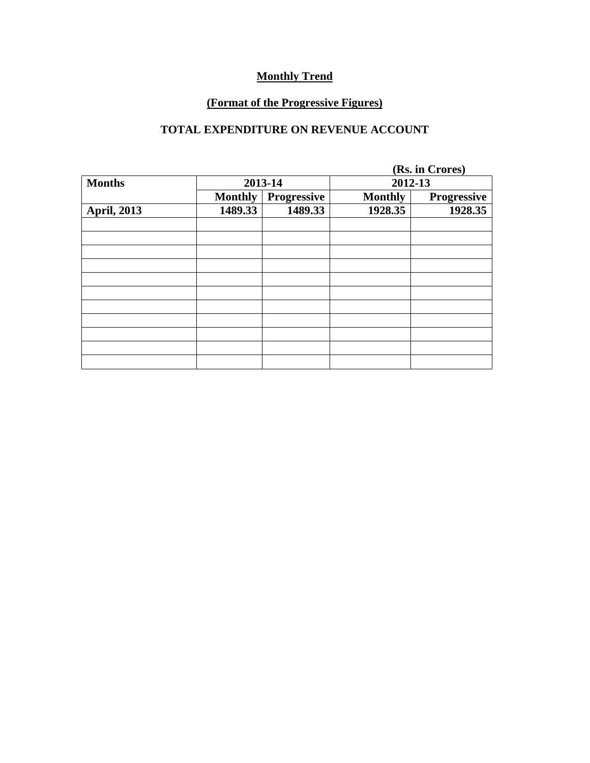## **(Format of the Progressive Figures)**

### **TOTAL EXPENDITURE ON REVENUE ACCOUNT**

|                    |                |             |                | (Rs. in Crores) |  |
|--------------------|----------------|-------------|----------------|-----------------|--|
| <b>Months</b>      |                | 2013-14     |                | 2012-13         |  |
|                    | <b>Monthly</b> | Progressive | <b>Monthly</b> | Progressive     |  |
| <b>April, 2013</b> | 1489.33        | 1489.33     | 1928.35        | 1928.35         |  |
|                    |                |             |                |                 |  |
|                    |                |             |                |                 |  |
|                    |                |             |                |                 |  |
|                    |                |             |                |                 |  |
|                    |                |             |                |                 |  |
|                    |                |             |                |                 |  |
|                    |                |             |                |                 |  |
|                    |                |             |                |                 |  |
|                    |                |             |                |                 |  |
|                    |                |             |                |                 |  |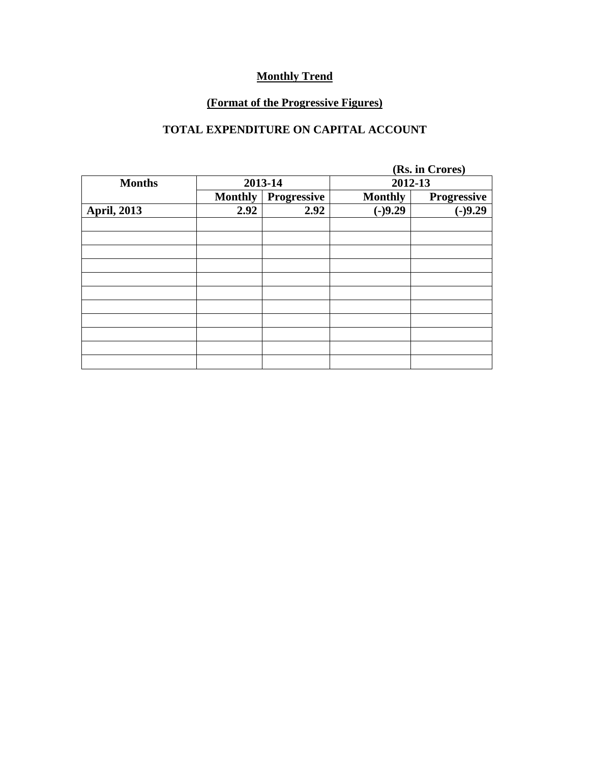## **(Format of the Progressive Figures)**

# **TOTAL EXPENDITURE ON CAPITAL ACCOUNT**

|                    |                |             |                | (Rs. in Crores) |  |  |
|--------------------|----------------|-------------|----------------|-----------------|--|--|
| <b>Months</b>      |                | 2013-14     | 2012-13        |                 |  |  |
|                    | <b>Monthly</b> | Progressive | <b>Monthly</b> | Progressive     |  |  |
| <b>April, 2013</b> | 2.92           | 2.92        | $(-)9.29$      | $(-)9.29$       |  |  |
|                    |                |             |                |                 |  |  |
|                    |                |             |                |                 |  |  |
|                    |                |             |                |                 |  |  |
|                    |                |             |                |                 |  |  |
|                    |                |             |                |                 |  |  |
|                    |                |             |                |                 |  |  |
|                    |                |             |                |                 |  |  |
|                    |                |             |                |                 |  |  |
|                    |                |             |                |                 |  |  |
|                    |                |             |                |                 |  |  |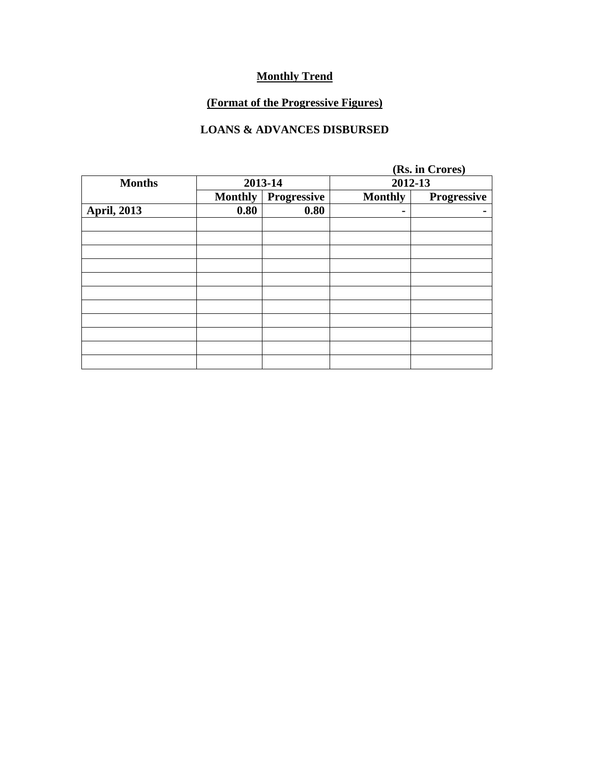## **(Format of the Progressive Figures)**

### **LOANS & ADVANCES DISBURSED**

|                    |                |             |                | (Rs. in Crores) |  |
|--------------------|----------------|-------------|----------------|-----------------|--|
| <b>Months</b>      | 2013-14        |             | 2012-13        |                 |  |
|                    | <b>Monthly</b> | Progressive | <b>Monthly</b> | Progressive     |  |
| <b>April, 2013</b> | 0.80           | 0.80        | $\blacksquare$ |                 |  |
|                    |                |             |                |                 |  |
|                    |                |             |                |                 |  |
|                    |                |             |                |                 |  |
|                    |                |             |                |                 |  |
|                    |                |             |                |                 |  |
|                    |                |             |                |                 |  |
|                    |                |             |                |                 |  |
|                    |                |             |                |                 |  |
|                    |                |             |                |                 |  |
|                    |                |             |                |                 |  |
|                    |                |             |                |                 |  |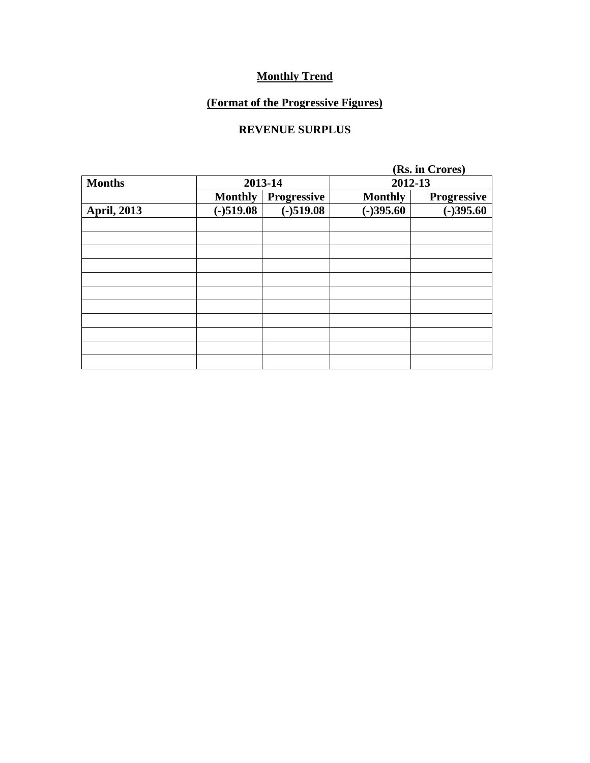## **(Format of the Progressive Figures)**

### **REVENUE SURPLUS**

|                    |                |             |                | (Rs. in Crores)    |  |  |  |
|--------------------|----------------|-------------|----------------|--------------------|--|--|--|
| <b>Months</b>      |                | 2013-14     |                | 2012-13            |  |  |  |
|                    | <b>Monthly</b> | Progressive | <b>Monthly</b> | <b>Progressive</b> |  |  |  |
| <b>April, 2013</b> | $(-)519.08$    | $(-)519.08$ | $(-)395.60$    | $(-)395.60$        |  |  |  |
|                    |                |             |                |                    |  |  |  |
|                    |                |             |                |                    |  |  |  |
|                    |                |             |                |                    |  |  |  |
|                    |                |             |                |                    |  |  |  |
|                    |                |             |                |                    |  |  |  |
|                    |                |             |                |                    |  |  |  |
|                    |                |             |                |                    |  |  |  |
|                    |                |             |                |                    |  |  |  |
|                    |                |             |                |                    |  |  |  |
|                    |                |             |                |                    |  |  |  |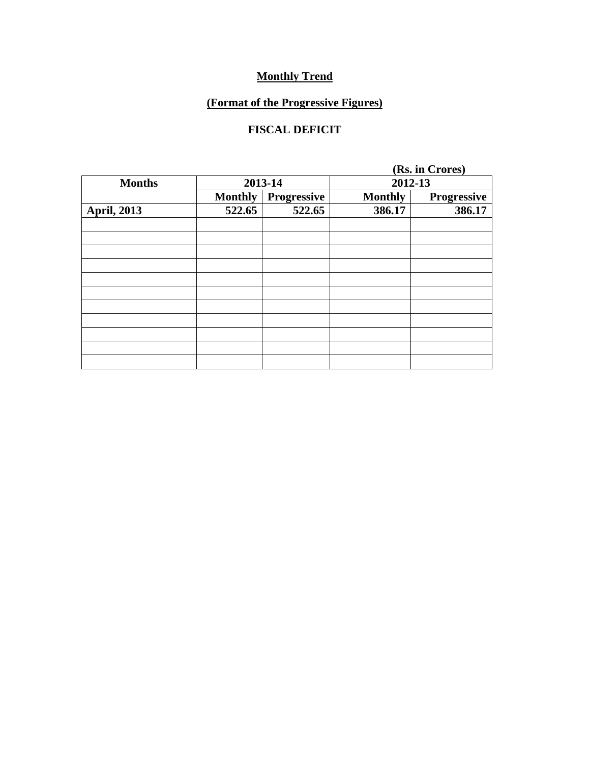## **(Format of the Progressive Figures)**

### **FISCAL DEFICIT**

|                    |                |                    |                | (Rs. in Crores)    |  |  |
|--------------------|----------------|--------------------|----------------|--------------------|--|--|
| <b>Months</b>      |                | 2013-14            |                | 2012-13            |  |  |
|                    | <b>Monthly</b> | <b>Progressive</b> | <b>Monthly</b> | <b>Progressive</b> |  |  |
| <b>April, 2013</b> | 522.65         | 522.65             | 386.17         | 386.17             |  |  |
|                    |                |                    |                |                    |  |  |
|                    |                |                    |                |                    |  |  |
|                    |                |                    |                |                    |  |  |
|                    |                |                    |                |                    |  |  |
|                    |                |                    |                |                    |  |  |
|                    |                |                    |                |                    |  |  |
|                    |                |                    |                |                    |  |  |
|                    |                |                    |                |                    |  |  |
|                    |                |                    |                |                    |  |  |
|                    |                |                    |                |                    |  |  |
|                    |                |                    |                |                    |  |  |